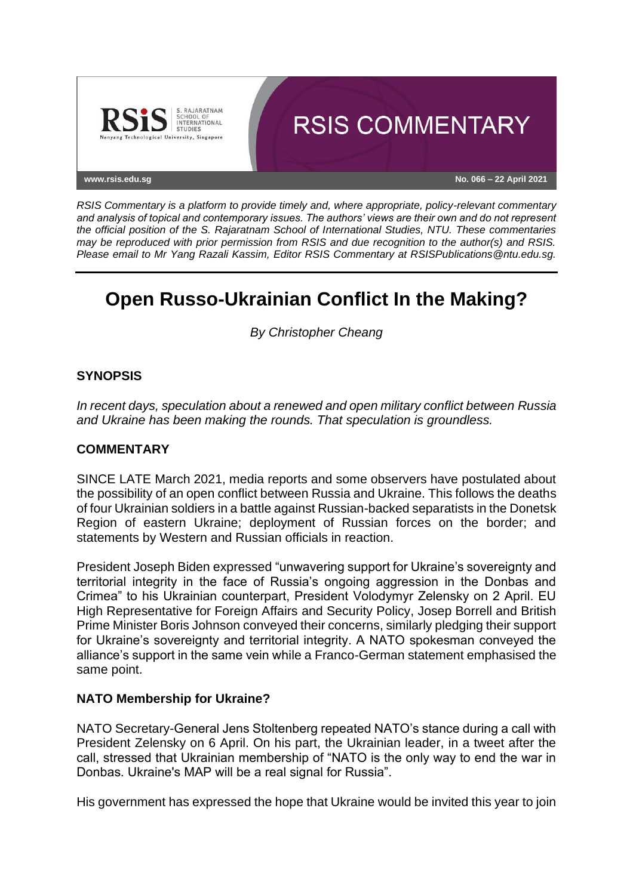

*RSIS Commentary is a platform to provide timely and, where appropriate, policy-relevant commentary and analysis of topical and contemporary issues. The authors' views are their own and do not represent the official position of the S. Rajaratnam School of International Studies, NTU. These commentaries may be reproduced with prior permission from RSIS and due recognition to the author(s) and RSIS. Please email to Mr Yang Razali Kassim, Editor RSIS Commentary at RSISPublications@ntu.edu.sg.*

# **Open Russo-Ukrainian Conflict In the Making?**

*By Christopher Cheang*

# **SYNOPSIS**

*In recent days, speculation about a renewed and open military conflict between Russia and Ukraine has been making the rounds. That speculation is groundless.*

# **COMMENTARY**

SINCE LATE March 2021, media reports and some observers have postulated about the possibility of an open conflict between Russia and Ukraine. This follows the deaths of four Ukrainian soldiers in a battle against Russian-backed separatists in the Donetsk Region of eastern Ukraine; deployment of Russian forces on the border; and statements by Western and Russian officials in reaction.

President Joseph Biden expressed "unwavering support for Ukraine's sovereignty and territorial integrity in the face of Russia's ongoing aggression in the Donbas and Crimea" to his Ukrainian counterpart, President Volodymyr Zelensky on 2 April. EU High Representative for Foreign Affairs and Security Policy, Josep Borrell and British Prime Minister Boris Johnson conveyed their concerns, similarly pledging their support for Ukraine's sovereignty and territorial integrity. A NATO spokesman conveyed the alliance's support in the same vein while a Franco-German statement emphasised the same point.

# **NATO Membership for Ukraine?**

NATO Secretary-General Jens Stoltenberg repeated NATO's stance during a call with President Zelensky on 6 April. On his part, the Ukrainian leader, in a tweet after the call, stressed that Ukrainian membership of "NATO is the only way to end the war in Donbas. Ukraine's MAP will be a real signal for Russia".

His government has expressed the hope that Ukraine would be invited this year to join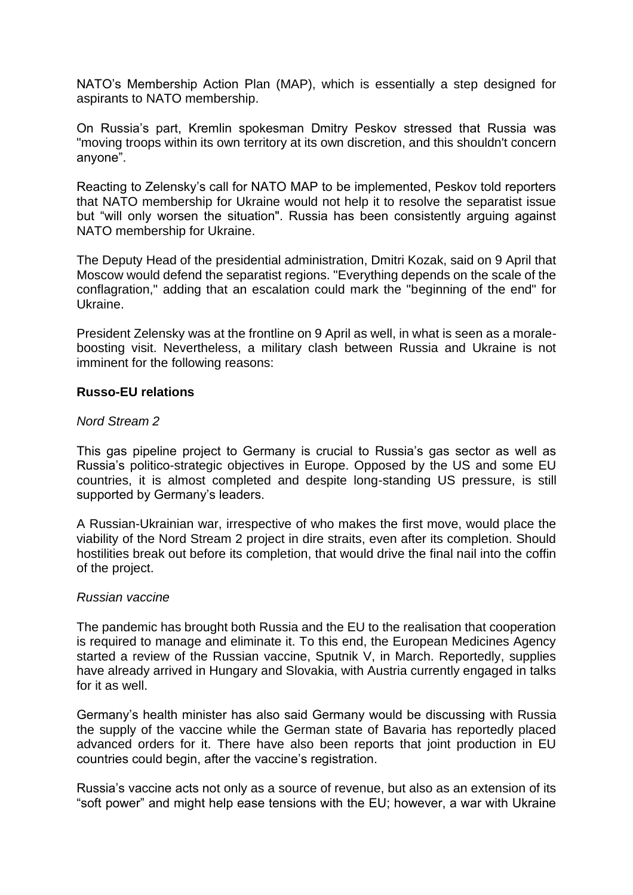NATO's Membership Action Plan (MAP), which is essentially a step designed for aspirants to NATO membership.

On Russia's part, Kremlin spokesman Dmitry Peskov stressed that Russia was "moving troops within its own territory at its own discretion, and this shouldn't concern anyone".

Reacting to Zelensky's call for NATO MAP to be implemented, Peskov told reporters that NATO membership for Ukraine would not help it to resolve the separatist issue but "will only worsen the situation". Russia has been consistently arguing against NATO membership for Ukraine.

The Deputy Head of the presidential administration, Dmitri Kozak, said on 9 April that Moscow would defend the separatist regions. "Everything depends on the scale of the conflagration," adding that an escalation could mark the "beginning of the end" for Ukraine.

President Zelensky was at the frontline on 9 April as well, in what is seen as a moraleboosting visit. Nevertheless, a military clash between Russia and Ukraine is not imminent for the following reasons:

#### **Russo-EU relations**

#### *Nord Stream 2*

This gas pipeline project to Germany is crucial to Russia's gas sector as well as Russia's politico-strategic objectives in Europe. Opposed by the US and some EU countries, it is almost completed and despite long-standing US pressure, is still supported by Germany's leaders.

A Russian-Ukrainian war, irrespective of who makes the first move, would place the viability of the Nord Stream 2 project in dire straits, even after its completion. Should hostilities break out before its completion, that would drive the final nail into the coffin of the project.

#### *Russian vaccine*

The pandemic has brought both Russia and the EU to the realisation that cooperation is required to manage and eliminate it. To this end, the European Medicines Agency started a review of the Russian vaccine, Sputnik V, in March. Reportedly, supplies have already arrived in Hungary and Slovakia, with Austria currently engaged in talks for it as well.

Germany's health minister has also said Germany would be discussing with Russia the supply of the vaccine while the German state of Bavaria has reportedly placed advanced orders for it. There have also been reports that joint production in EU countries could begin, after the vaccine's registration.

Russia's vaccine acts not only as a source of revenue, but also as an extension of its "soft power" and might help ease tensions with the EU; however, a war with Ukraine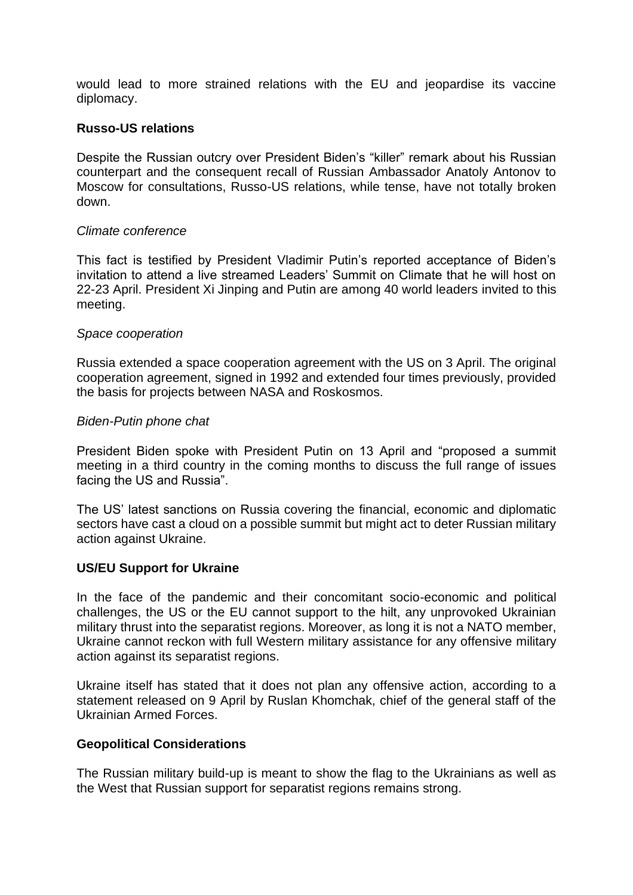would lead to more strained relations with the EU and jeopardise its vaccine diplomacy.

#### **Russo-US relations**

Despite the Russian outcry over President Biden's "killer" remark about his Russian counterpart and the consequent recall of Russian Ambassador Anatoly Antonov to Moscow for consultations, Russo-US relations, while tense, have not totally broken down.

#### *Climate conference*

This fact is testified by President Vladimir Putin's reported acceptance of Biden's invitation to attend a live streamed Leaders' Summit on Climate that he will host on 22-23 April. President Xi Jinping and Putin are among 40 world leaders invited to this meeting.

#### *Space cooperation*

Russia extended a space cooperation agreement with the US on 3 April. The original cooperation agreement, signed in 1992 and extended four times previously, provided the basis for projects between NASA and Roskosmos.

#### *Biden-Putin phone chat*

President Biden spoke with President Putin on 13 April and "proposed a summit meeting in a third country in the coming months to discuss the full range of issues facing the US and Russia".

The US' latest sanctions on Russia covering the financial, economic and diplomatic sectors have cast a cloud on a possible summit but might act to deter Russian military action against Ukraine.

# **US/EU Support for Ukraine**

In the face of the pandemic and their concomitant socio-economic and political challenges, the US or the EU cannot support to the hilt, any unprovoked Ukrainian military thrust into the separatist regions. Moreover, as long it is not a NATO member, Ukraine cannot reckon with full Western military assistance for any offensive military action against its separatist regions.

Ukraine itself has stated that it does not plan any offensive action, according to a statement released on 9 April by Ruslan Khomchak, chief of the general staff of the Ukrainian Armed Forces.

# **Geopolitical Considerations**

The Russian military build-up is meant to show the flag to the Ukrainians as well as the West that Russian support for separatist regions remains strong.